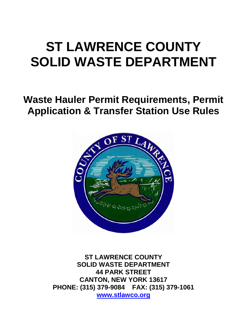# **ST LAWRENCE COUNTY SOLID WASTE DEPARTMENT**

# **Waste Hauler Permit Requirements, Permit Application & Transfer Station Use Rules**



**ST LAWRENCE COUNTY SOLID WASTE DEPARTMENT 44 PARK STREET CANTON, NEW YORK 13617 PHONE: (315) 379-9084 FAX: (315) 379-1061 [www.stlawco.org](http://www.stlawco.org/)**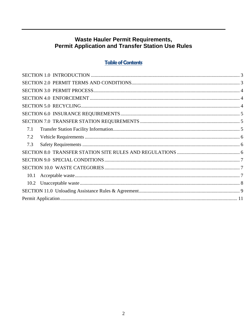# Waste Hauler Permit Requirements,<br>Permit Application and Transfer Station Use Rules

# **Table of Contents**

<span id="page-1-0"></span>

| 7.1 |  |
|-----|--|
| 7.2 |  |
| 7.3 |  |
|     |  |
|     |  |
|     |  |
|     |  |
|     |  |
|     |  |
|     |  |
|     |  |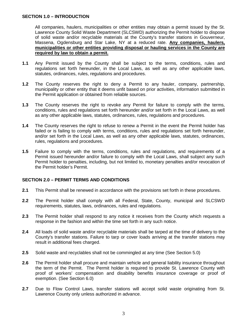#### **SECTION 1.0 – INTRODUCTION**

All companies, haulers, municipalities or other entities may obtain a permit issued by the St. Lawrence County Solid Waste Department (SLCSWD) authorizing the Permit holder to dispose of solid waste and/or recyclable materials at the County's transfer stations in Gouverneur, Massena, Ogdensburg and Star Lake, NY at a reduced rate. **Any companies, haulers, municipalities or other entities providing disposal or hauling services in the County are required by law to obtain a permit.**

- **1.1** Any Permit issued by the County shall be subject to the terms, conditions, rules and regulations set forth hereunder, in the Local Laws, as well as any other applicable laws, statutes, ordinances, rules, regulations and procedures.
- **1.2** The County reserves the right to deny a Permit to any hauler, company, partnership, municipality or other entity that it deems unfit based on prior activities, information submitted in the Permit application or obtained from reliable sources.
- **1.3** The County reserves the right to revoke any Permit for failure to comply with the terms, conditions, rules and regulations set forth hereunder and/or set forth in the Local Laws, as well as any other applicable laws, statutes, ordinances, rules, regulations and procedures.
- **1.4** The County reserves the right to refuse to renew a Permit in the event the Permit holder has failed or is failing to comply with terms, conditions, rules and regulations set forth hereunder, and/or set forth in the Local Laws, as well as any other applicable laws, statutes, ordinances, rules, regulations and procedures.
- **1.5** Failure to comply with the terms, conditions, rules and regulations, and requirements of a Permit issued hereunder and/or failure to comply with the Local Laws, shall subject any such Permit holder to penalties, including, but not limited to, monetary penalties and/or revocation of the Permit holder's Permit.

#### <span id="page-2-0"></span>**SECTION 2.0 – PERMIT TERMS AND CONDITIONS**

- **2.1** This Permit shall be renewed in accordance with the provisions set forth in these procedures.
- **2.2** The Permit holder shall comply with all Federal, State, County, municipal and SLCSWD requirements, statutes, laws, ordinances, rules and regulations.
- **2.3** The Permit holder shall respond to any notice it receives from the County which requests a response in the fashion and within the time set forth in any such notice.
- **2.4** All loads of solid waste and/or recyclable materials shall be tarped at the time of delivery to the County's transfer stations. Failure to tarp or cover loads arriving at the transfer stations may result in additional fees charged.
- **2.5** Solid waste and recyclables shall not be commingled at any time (See Section 5.0)
- **2.6** The Permit holder shall procure and maintain vehicle and general liability insurance throughout the term of the Permit. The Permit holder is required to provide St. Lawrence County with proof of workers' compensation and disability benefits insurance coverage or proof of exemption. (See Section 6.0)
- <span id="page-2-1"></span>**2.7** Due to Flow Control Laws, transfer stations will accept solid waste originating from St. Lawrence County only unless authorized in advance.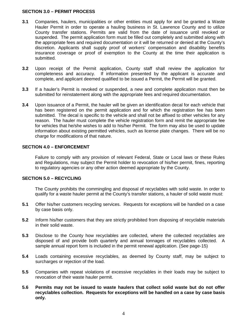#### **SECTION 3.0 – PERMIT PROCESS**

- **3.1** Companies, haulers, municipalities or other entities must apply for and be granted a Waste Hauler Permit in order to operate a hauling business in St. Lawrence County and to utilize County transfer stations. Permits are valid from the date of issuance until revoked or suspended. The permit application form must be filled out completely and submitted along with the appropriate fees and required documentation or it will be returned or denied at the County's discretion. Applicants shall supply proof of workers' compensation and disability benefits insurance coverage or proof of exemption to the County at the time their application is submitted.
- **3.2** Upon receipt of the Permit application, County staff shall review the application for completeness and accuracy. If information presented by the applicant is accurate and complete, and applicant deemed qualified to be issued a Permit, the Permit will be granted.
- **3.3** If a hauler's Permit is revoked or suspended, a new and complete application must then be submitted for reinstatement along with the appropriate fees and required documentation.
- **3.4** Upon issuance of a Permit, the hauler will be given an identification decal for each vehicle that has been registered on the permit application and for which the registration fee has been submitted. The decal is specific to the vehicle and shall not be affixed to other vehicles for any reason. The hauler must complete the vehicle registration form and remit the appropriate fee for vehicles that he/she wishes to add to his/her Permit. The form may also be used to update information about existing permitted vehicles, such as license plate changes. There will be no charge for modifications of that nature.

#### <span id="page-3-0"></span>**SECTION 4.0 – ENFORCEMENT**

Failure to comply with any provision of relevant Federal, State or Local laws or these Rules and Regulations, may subject the Permit holder to revocation of his/her permit, fines, reporting to regulatory agencies or any other action deemed appropriate by the County.

#### <span id="page-3-1"></span>**SECTION 5.0 – RECYCLING**

The County prohibits the commingling and disposal of recyclables with solid waste. In order to qualify for a waste hauler permit at the County's transfer stations, a hauler of solid waste must:

- **5.1** Offer his/her customers recycling services. Requests for exceptions will be handled on a case by case basis only.
- **5.2** Inform his/her customers that they are strictly prohibited from disposing of recyclable materials in their solid waste.
- **5.3** Disclose to the County how recyclables are collected, where the collected recyclables are disposed of and provide both quarterly and annual tonnages of recyclables collected. A sample annual report form is included in the permit renewal application. (See page-15)
- **5.4** Loads containing excessive recyclables, as deemed by County staff, may be subject to surcharges or rejection of the load.
- **5.5** Companies with repeat violations of excessive recyclables in their loads may be subject to revocation of their waste hauler permit.
- **5.6 Permits may not be issued to waste haulers that collect solid waste but do not offer recyclables collection. Requests for exceptions will be handled on a case by case basis only.**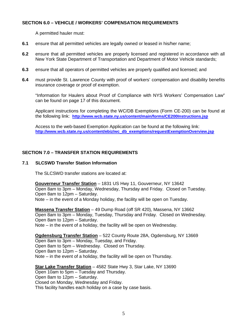#### <span id="page-4-0"></span>**SECTION 6.0 – VEHICLE / WORKERS' COMPENSATION REQUIREMENTS**

A permitted hauler must:

- **6.1** ensure that all permitted vehicles are legally owned or leased in his/her name;
- **6.2** ensure that all permitted vehicles are properly licensed and registered in accordance with all New York State Department of Transportation and Department of Motor Vehicle standards;
- **6.3** ensure that all operators of permitted vehicles are properly qualified and licensed; and
- **6.4** must provide St. Lawrence County with proof of workers' compensation and disability benefits insurance coverage or proof of exemption.

"Information for Haulers about Proof of Compliance with NYS Workers' Compensation Law" can be found on page 17 of this document.

Applicant instructions for completing the WC/DB Exemptions (Form CE-200) can be found at the following link: **<http://www.wcb.state.ny.us/content/main/forms/CE200Instructions.jsp>**

Access to the web-based Exemption Application can be found at the following link: **[http://www.wcb.state.ny.us/content/ebiz/wc\\_db\\_exemptions/requestExemptionOverview.jsp](http://www.wcb.state.ny.us/content/ebiz/wc_db_exemptions/requestExemptionOverview.jsp)**

#### <span id="page-4-1"></span>**SECTION 7.0 – TRANSFER STATION REQUIREMENTS**

#### <span id="page-4-2"></span>**7.1 SLCSWD Transfer Station Information**

The SLCSWD transfer stations are located at:

**Gouverneur Transfer Station** – 1831 US Hwy 11, Gouverneur, NY 13642 Open 8am to 3pm – Monday, Wednesday, Thursday and Friday. Closed on Tuesday. Open 8am to 12pm – Saturday. Note – in the event of a Monday holiday, the facility will be open on Tuesday.

**Massena Transfer Station** – 49 Dump Road (off SR 420), Massena, NY 13662 Open 8am to 3pm – Monday, Tuesday, Thursday and Friday. Closed on Wednesday. Open 8am to 12pm – Saturday. Note – in the event of a holiday, the facility will be open on Wednesday.

**Ogdensburg Transfer Station** – 522 County Route 28A, Ogdensburg, NY 13669 Open 8am to 3pm – Monday, Tuesday, and Friday. Open 8am to 5pm – Wednesday. Closed on Thursday. Open 8am to 12pm – Saturday. Note – in the event of a holiday, the facility will be open on Thursday.

**Star Lake Transfer Station** – 4582 State Hwy 3, Star Lake, NY 13690 Open 10am to 5pm – Tuesday and Thursday. Open 8am to 12pm – Saturday. Closed on Monday, Wednesday and Friday. This facility handles each holiday on a case by case basis.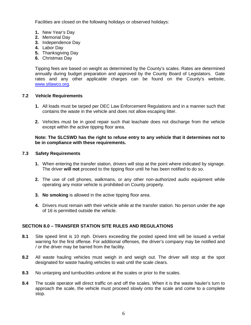Facilities are closed on the following holidays or observed holidays:

- **1.** New Year's Day
- **2.** Memorial Day
- **3.** Independence Day
- **4.** Labor Day
- **5.** Thanksgiving Day
- **6.** Christmas Day

Tipping fees are based on weight as determined by the County's scales. Rates are determined annually during budget preparation and approved by the County Board of Legislators. Gate rates and any other applicable charges can be found on the County's website, [www.stlawco.org.](http://www.stlawco.org/)

#### <span id="page-5-0"></span>**7.2 Vehicle Requirements**

- **1.** All loads must be tarped per DEC Law Enforcement Regulations and in a manner such that contains the waste in the vehicle and does not allow escaping litter.
- **2.** Vehicles must be in good repair such that leachate does not discharge from the vehicle except within the active tipping floor area.

#### **Note: The SLCSWD has the right to refuse entry to any vehicle that it determines not to be in compliance with these requirements.**

#### <span id="page-5-1"></span>**7.3 Safety Requirements**

- **1.** When entering the transfer station, drivers will stop at the point where indicated by signage. The driver **will not** proceed to the tipping floor until he has been notified to do so.
- **2.** The use of cell phones, walkmans, or any other non-authorized audio equipment while operating any motor vehicle is prohibited on County property.
- **3. No smoking** is allowed in the active tipping floor area.
- **4.** Drivers must remain with their vehicle while at the transfer station. No person under the age of 16 is permitted outside the vehicle.

#### <span id="page-5-2"></span>**SECTION 8.0 – TRANSFER STATION SITE RULES AND REGULATIONS**

- **8.1** Site speed limit is 10 mph. Drivers exceeding the posted speed limit will be issued a verbal warning for the first offense. For additional offenses, the driver's company may be notified and / or the driver may be barred from the facility.
- **8.2** All waste hauling vehicles must weigh in and weigh out. The driver will stop at the spot designated for waste hauling vehicles to wait until the scale clears.
- **8.3** No untarping and turnbuckles undone at the scales or prior to the scales.
- **8.4** The scale operator will direct traffic on and off the scales. When it is the waste hauler's turn to approach the scale, the vehicle must proceed slowly onto the scale and come to a complete stop.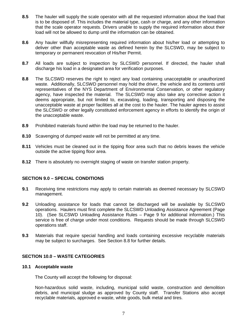- **8.5** The hauler will supply the scale operator with all the requested information about the load that is to be disposed of. This includes the material type, cash or charge, and any other information that the scale operator requests. Drivers unable to supply the required information about their load will not be allowed to dump until the information can be obtained.
- **8.6** Any hauler willfully misrepresenting required information about his/her load or attempting to deliver other than acceptable waste as defined herein by the SLCSWD, may be subject to temporary or permanent revocation of His/her Permit.
- **8.7** All loads are subject to inspection by SLCSWD personnel. If directed, the hauler shall discharge his load in a designated area for verification purposes.
- **8.8** The SLCSWD reserves the right to reject any load containing unacceptable or unauthorized waste. Additionally, SLCSWD personnel may hold the driver, the vehicle and its contents until representatives of the NYS Department of Environmental Conservation, or other regulatory agency, have inspected the material. The SLCSWD may also take any corrective action it deems appropriate, but not limited to, excavating, loading, transporting and disposing the unacceptable waste at proper facilities all at the cost to the hauler. The hauler agrees to assist the SLCSWD or other legally constituted enforcement agency in efforts to identify the origin of the unacceptable waste.
- **8.9** Prohibited materials found within the load may be returned to the hauler.
- **8.10** Scavenging of dumped waste will not be permitted at any time.
- **8.11** Vehicles must be cleaned out in the tipping floor area such that no debris leaves the vehicle outside the active tipping floor area.
- **8.12** There is absolutely no overnight staging of waste on transfer station property.

#### <span id="page-6-0"></span>**SECTION 9.0 – SPECIAL CONDITIONS**

- **9.1** Receiving time restrictions may apply to certain materials as deemed necessary by SLCSWD management.
- **9.2** Unloading assistance for loads that cannot be discharged will be available by SLCSWD operations. Haulers must first complete the SLCSWD Unloading Assistance Agreement (Page 10). (See SLCSWD Unloading Assistance Rules – Page 9 for additional information.) This service is free of charge under most conditions. Requests should be made through SLCSWD operations staff.
- **9.3** Materials that require special handling and loads containing excessive recyclable materials may be subject to surcharges. See Section 8.8 for further details.

#### <span id="page-6-1"></span>**SECTION 10.0 – WASTE CATEGORIES**

#### <span id="page-6-2"></span>**10.1 Acceptable waste**

The County will accept the following for disposal:

Non-hazardous solid waste, including, municipal solid waste, construction and demolition debris, and municipal sludge as approved by County staff. Transfer Stations also accept recyclable materials, approved e-waste, white goods, bulk metal and tires.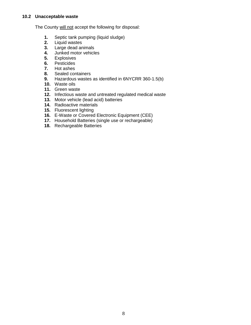<span id="page-7-0"></span>The County will not accept the following for disposal:

- **1.** Septic tank pumping (liquid sludge)
- **2.** Liquid wastes
- **3.** Large dead animals
- **4.** Junked motor vehicles<br>**5.** Explosives
- **5.** Explosives
- **6.** Pesticides
- **7.** Hot ashes
- **8.** Sealed containers
- **9.** Hazardous wastes as identified in 6NYCRR 360-1.5(b)
- **10.** Waste oils
- **11.** Green waste
- **12.** Infectious waste and untreated regulated medical waste
- **13.** Motor vehicle (lead acid) batteries
- **14.** Radioactive materials
- **15.** Fluorescent lighting
- **16.** E-Waste or Covered Electronic Equipment (CEE)
- **17.** Household Batteries (single use or rechargeable)
- **18.** Rechargeable Batteries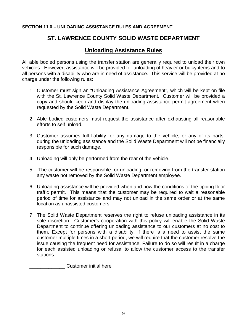#### <span id="page-8-0"></span>**SECTION 11.0 – UNLOADING ASSISTANCE RULES AND AGREEMENT**

# **ST. LAWRENCE COUNTY SOLID WASTE DEPARTMENT**

# **Unloading Assistance Rules**

All able bodied persons using the transfer station are generally required to unload their own vehicles. However, assistance will be provided for unloading of heavier or bulky items and to all persons with a disability who are in need of assistance. This service will be provided at no charge under the following rules:

- 1. Customer must sign an "Unloading Assistance Agreement", which will be kept on file with the St. Lawrence County Solid Waste Department. Customer will be provided a copy and should keep and display the unloading assistance permit agreement when requested by the Solid Waste Department.
- 2. Able bodied customers must request the assistance after exhausting all reasonable efforts to self unload.
- 3. Customer assumes full liability for any damage to the vehicle, or any of its parts, during the unloading assistance and the Solid Waste Department will not be financially responsible for such damage.
- 4. Unloading will only be performed from the rear of the vehicle.
- 5. The customer will be responsible for unloading, or removing from the transfer station any waste not removed by the Solid Waste Department employee.
- 6. Unloading assistance will be provided when and how the conditions of the tipping floor traffic permit. This means that the customer may be required to wait a reasonable period of time for assistance and may not unload in the same order or at the same location as unassisted customers.
- 7. The Solid Waste Department reserves the right to refuse unloading assistance in its sole discretion. Customer's cooperation with this policy will enable the Solid Waste Department to continue offering unloading assistance to our customers at no cost to them. Except for persons with a disability, if there is a need to assist the same customer multiple times in a short period, we will require that the customer resolve the issue causing the frequent need for assistance. Failure to do so will result in a charge for each assisted unloading or refusal to allow the customer access to the transfer stations.

\_\_\_\_\_\_\_\_\_\_\_\_\_ Customer initial here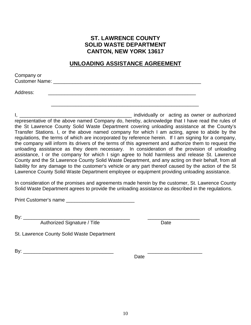# **ST. LAWRENCE COUNTY SOLID WASTE DEPARTMENT CANTON, NEW YORK 13617**

### **UNLOADING ASSISTANCE AGREEMENT**

| Company or            |  |  |  |
|-----------------------|--|--|--|
| <b>Customer Name:</b> |  |  |  |
|                       |  |  |  |
|                       |  |  |  |

Address: \_\_\_\_\_\_\_\_\_\_\_\_\_\_\_\_\_\_\_\_\_\_\_\_\_\_\_\_\_\_\_\_\_\_\_\_\_\_\_\_\_\_\_\_\_\_\_\_\_\_\_\_\_\_

I, \_\_\_\_\_\_\_\_\_\_\_\_\_\_\_\_\_\_\_\_\_\_\_\_\_\_\_\_\_\_\_\_\_\_\_\_\_\_\_\_\_ individually or acting as owner or authorized representative of the above named Company do, hereby, acknowledge that I have read the rules of the St Lawrence County Solid Waste Department covering unloading assistance at the County's Transfer Stations. I, or the above named company for which I am acting, agree to abide by the regulations, the terms of which are incorporated by reference herein. If I am signing for a company, the company will inform its drivers of the terms of this agreement and authorize them to request the unloading assistance as they deem necessary. In consideration of the provision of unloading assistance, I or the company for which I sign agree to hold harmless and release St. Lawrence County and the St Lawrence County Solid Waste Department, and any acting on their behalf, from all liability for any damage to the customer's vehicle or any part thereof caused by the action of the St Lawrence County Solid Waste Department employee or equipment providing unloading assistance.

\_\_\_\_\_\_\_\_\_\_\_\_\_\_\_\_\_\_\_\_\_\_\_\_\_\_\_\_\_\_\_\_\_\_\_\_\_\_\_\_\_\_\_\_\_\_\_\_\_\_\_\_\_\_

In consideration of the promises and agreements made herein by the customer, St. Lawrence County Solid Waste Department agrees to provide the unloading assistance as described in the regulations.

Print Customer's name

By: \_\_\_\_\_\_\_\_\_\_\_\_\_\_\_\_\_\_\_\_\_\_\_\_\_\_\_\_\_\_\_\_\_\_\_\_\_\_\_ \_\_\_\_\_\_\_\_\_\_\_\_\_\_\_\_\_\_\_

Authorized Signature / Title **Canada Authorized Signature** / Title

St. Lawrence County Solid Waste Department

 $\mathsf{By:}$ 

Date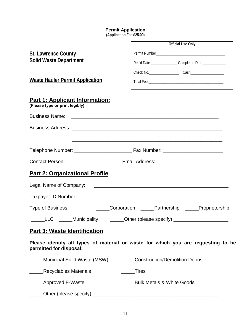#### **Permit Application**

**(Application Fee \$25.00)**

<span id="page-10-0"></span>

|                                                                         | <b>Official Use Only</b>                                                          |
|-------------------------------------------------------------------------|-----------------------------------------------------------------------------------|
| <b>St. Lawrence County</b>                                              |                                                                                   |
| <b>Solid Waste Department</b>                                           | Rec'd Date: __________________Completed Date: _______________                     |
|                                                                         |                                                                                   |
| <b>Waste Hauler Permit Application</b>                                  |                                                                                   |
| <b>Part 1: Applicant Information:</b><br>(Please type or print legibly) |                                                                                   |
|                                                                         |                                                                                   |
|                                                                         |                                                                                   |
|                                                                         |                                                                                   |
|                                                                         |                                                                                   |
|                                                                         |                                                                                   |
| <b>Part 2: Organizational Profile</b>                                   |                                                                                   |
| Legal Name of Company:                                                  | <u> 2000 - Januar Alemania, martxa alemaniar amerikan aleman (h. 1878).</u>       |
| Taxpayer ID Number:                                                     | <u> 1980 - Johann Stoff, amerikansk politiker (d. 1980)</u>                       |
| Type of Business:                                                       | Corporation _____Partnership _____Proprietorship                                  |
|                                                                         | LLC _____Municipality ______Other (please specify) _____________________          |
| <b>Part 3: Waste Identification</b>                                     |                                                                                   |
| permitted for disposal:                                                 | Please identify all types of material or waste for which you are requesting to be |
| Municipal Solid Waste (MSW)                                             | <b>Construction/Demolition Debris</b>                                             |
| <b>Recyclables Materials</b>                                            | _Tires                                                                            |
| Approved E-Waste                                                        | <b>Bulk Metals &amp; White Goods</b>                                              |
| Other (please specify):__                                               |                                                                                   |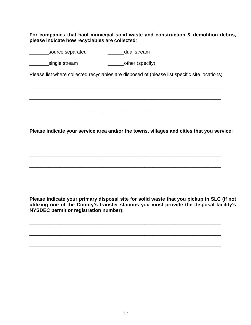**For companies that haul municipal solid waste and construction & demolition debris, please indicate how recyclables are collected**:

Letter Letter Source separated Letter Letter and Letter Source separated Letter Letter August 2014

Letter Single stream and the contract of the second stream and the second stream and the second stream and str

Please list where collected recyclables are disposed of (please list specific site locations)

\_\_\_\_\_\_\_\_\_\_\_\_\_\_\_\_\_\_\_\_\_\_\_\_\_\_\_\_\_\_\_\_\_\_\_\_\_\_\_\_\_\_\_\_\_\_\_\_\_\_\_\_\_\_\_\_\_\_\_\_\_\_\_\_\_\_\_\_\_\_

\_\_\_\_\_\_\_\_\_\_\_\_\_\_\_\_\_\_\_\_\_\_\_\_\_\_\_\_\_\_\_\_\_\_\_\_\_\_\_\_\_\_\_\_\_\_\_\_\_\_\_\_\_\_\_\_\_\_\_\_\_\_\_\_\_\_\_\_\_\_

\_\_\_\_\_\_\_\_\_\_\_\_\_\_\_\_\_\_\_\_\_\_\_\_\_\_\_\_\_\_\_\_\_\_\_\_\_\_\_\_\_\_\_\_\_\_\_\_\_\_\_\_\_\_\_\_\_\_\_\_\_\_\_\_\_\_\_\_\_\_

\_\_\_\_\_\_\_\_\_\_\_\_\_\_\_\_\_\_\_\_\_\_\_\_\_\_\_\_\_\_\_\_\_\_\_\_\_\_\_\_\_\_\_\_\_\_\_\_\_\_\_\_\_\_\_\_\_\_\_\_\_\_\_\_\_\_\_\_\_\_

\_\_\_\_\_\_\_\_\_\_\_\_\_\_\_\_\_\_\_\_\_\_\_\_\_\_\_\_\_\_\_\_\_\_\_\_\_\_\_\_\_\_\_\_\_\_\_\_\_\_\_\_\_\_\_\_\_\_\_\_\_\_\_\_\_\_\_\_\_\_

\_\_\_\_\_\_\_\_\_\_\_\_\_\_\_\_\_\_\_\_\_\_\_\_\_\_\_\_\_\_\_\_\_\_\_\_\_\_\_\_\_\_\_\_\_\_\_\_\_\_\_\_\_\_\_\_\_\_\_\_\_\_\_\_\_\_\_\_\_\_

\_\_\_\_\_\_\_\_\_\_\_\_\_\_\_\_\_\_\_\_\_\_\_\_\_\_\_\_\_\_\_\_\_\_\_\_\_\_\_\_\_\_\_\_\_\_\_\_\_\_\_\_\_\_\_\_\_\_\_\_\_\_\_\_\_\_\_\_\_\_

\_\_\_\_\_\_\_\_\_\_\_\_\_\_\_\_\_\_\_\_\_\_\_\_\_\_\_\_\_\_\_\_\_\_\_\_\_\_\_\_\_\_\_\_\_\_\_\_\_\_\_\_\_\_\_\_\_\_\_\_\_\_\_\_\_\_\_\_\_\_

\_\_\_\_\_\_\_\_\_\_\_\_\_\_\_\_\_\_\_\_\_\_\_\_\_\_\_\_\_\_\_\_\_\_\_\_\_\_\_\_\_\_\_\_\_\_\_\_\_\_\_\_\_\_\_\_\_\_\_\_\_\_\_\_\_\_\_\_\_\_

\_\_\_\_\_\_\_\_\_\_\_\_\_\_\_\_\_\_\_\_\_\_\_\_\_\_\_\_\_\_\_\_\_\_\_\_\_\_\_\_\_\_\_\_\_\_\_\_\_\_\_\_\_\_\_\_\_\_\_\_\_\_\_\_\_\_\_\_\_\_

**Please indicate your service area and/or the towns, villages and cities that you service:**

**Please indicate your primary disposal site for solid waste that you pickup in SLC (if not utilizing one of the County's transfer stations you must provide the disposal facility's NYSDEC permit or registration number):**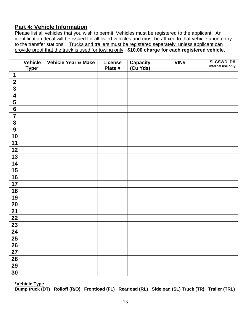# **Part 4: Vehicle Information**

Please list all vehicles that you wish to permit. Vehicles must be registered to the applicant. An identification decal will be issued for all listed vehicles and must be affixed to that vehicle upon entry to the transfer stations. Trucks and trailers must be registered separately, unless applicant can provide proof that the truck is used for towing only. **\$10.00 charge for each registered vehicle.** 

|                         | <b>Vehicle</b> | Vehicle Year & Make | License | <b>Capacity</b><br>(Cu Yds) | VIN# | <b>SLCSWD ID#</b> |
|-------------------------|----------------|---------------------|---------|-----------------------------|------|-------------------|
|                         | Type*          |                     | Plate # |                             |      | Internal use only |
| $\mathbf 1$             |                |                     |         |                             |      |                   |
| $\mathbf{2}$            |                |                     |         |                             |      |                   |
| $\overline{\mathbf{3}}$ |                |                     |         |                             |      |                   |
| $\overline{\mathbf{4}}$ |                |                     |         |                             |      |                   |
| 5                       |                |                     |         |                             |      |                   |
| $\overline{\mathbf{6}}$ |                |                     |         |                             |      |                   |
| $\overline{\mathbf{7}}$ |                |                     |         |                             |      |                   |
| ${\bf 8}$               |                |                     |         |                             |      |                   |
| $\overline{9}$          |                |                     |         |                             |      |                   |
| 10                      |                |                     |         |                             |      |                   |
| 11                      |                |                     |         |                             |      |                   |
| 12                      |                |                     |         |                             |      |                   |
| 13                      |                |                     |         |                             |      |                   |
| 14                      |                |                     |         |                             |      |                   |
| 15                      |                |                     |         |                             |      |                   |
| 16                      |                |                     |         |                             |      |                   |
| 17                      |                |                     |         |                             |      |                   |
| 18                      |                |                     |         |                             |      |                   |
| 19                      |                |                     |         |                             |      |                   |
| 20                      |                |                     |         |                             |      |                   |
| 21                      |                |                     |         |                             |      |                   |
| 22                      |                |                     |         |                             |      |                   |
| 23                      |                |                     |         |                             |      |                   |
| $\overline{24}$         |                |                     |         |                             |      |                   |
| $\overline{25}$         |                |                     |         |                             |      |                   |
| 26                      |                |                     |         |                             |      |                   |
| 27                      |                |                     |         |                             |      |                   |
| $\overline{28}$         |                |                     |         |                             |      |                   |
| 29                      |                |                     |         |                             |      |                   |
| 30                      |                |                     |         |                             |      |                   |
|                         |                |                     |         |                             |      |                   |

**\*Vehicle Type** 

**Dump truck (DT) Rolloff (R/O) Frontload (FL) Rearload (RL) Sideload (SL) Truck (TR) Trailer (TRL)**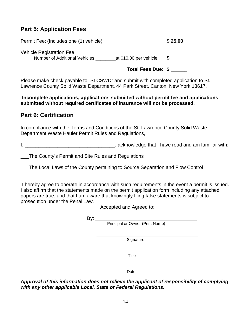# **Part 5: Application Fees**

Permit Fee: (Includes one (1) vehicle) **\$ 25.00** Vehicle Registration Fee: Number of Additional Vehicles \_\_\_\_\_\_\_\_at \$10.00 per vehicle **\$ \_\_\_\_\_\_**

**Total Fees Due: \$ \_\_\_\_\_\_**

Please make check payable to "SLCSWD" and submit with completed application to St. Lawrence County Solid Waste Department, 44 Park Street, Canton, New York 13617.

**Incomplete applications, applications submitted without permit fee and applications submitted without required certificates of insurance will not be processed.**

# **Part 6: Certification**

In compliance with the Terms and Conditions of the St. Lawrence County Solid Waste Department Waste Hauler Permit Rules and Regulations,

I, \_\_\_\_\_\_\_\_\_\_\_\_\_\_\_\_\_\_\_\_\_\_\_\_\_\_\_\_\_\_\_\_\_, acknowledge that I have read and am familiar with:

\_\_\_The County's Permit and Site Rules and Regulations

\_\_\_The Local Laws of the County pertaining to Source Separation and Flow Control

I hereby agree to operate in accordance with such requirements in the event a permit is issued. I also affirm that the statements made on the permit application form including any attached papers are true, and that I am aware that knowingly filing false statements is subject to prosecution under the Penal Law.

Accepted and Agreed to:

By: \_\_\_\_\_\_\_\_\_\_\_\_\_\_\_\_\_\_\_\_\_\_\_\_\_\_\_\_\_\_\_\_\_\_\_\_\_ Principal or Owner (Print Name)

 \_\_\_\_\_\_\_\_\_\_\_\_\_\_\_\_\_\_\_\_\_\_\_\_\_\_\_\_\_\_\_\_\_\_\_\_\_ **Signature** 

 \_\_\_\_\_\_\_\_\_\_\_\_\_\_\_\_\_\_\_\_\_\_\_\_\_\_\_\_\_\_\_\_\_\_\_\_\_ **Title** 

 \_\_\_\_\_\_\_\_\_\_\_\_\_\_\_\_\_\_\_\_\_\_\_\_\_\_\_\_\_\_\_\_\_\_\_\_\_ Date

*Approval of this information does not relieve the applicant of responsibility of complying with any other applicable Local, State or Federal Regulations.*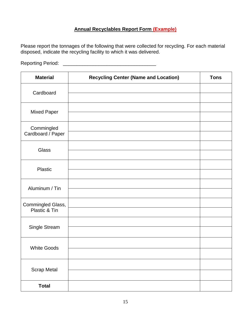### **Annual Recyclables Report Form (Example)**

Please report the tonnages of the following that were collected for recycling. For each material disposed, indicate the recycling facility to which it was delivered.

Reporting Period: \_\_\_\_\_\_\_\_\_\_\_\_\_\_\_\_\_\_\_\_\_\_\_\_\_\_\_\_\_\_\_\_\_\_

| <b>Material</b>                    | <b>Recycling Center (Name and Location)</b> | <b>Tons</b> |
|------------------------------------|---------------------------------------------|-------------|
| Cardboard                          |                                             |             |
| <b>Mixed Paper</b>                 |                                             |             |
| Commingled<br>Cardboard / Paper    |                                             |             |
| Glass                              |                                             |             |
| Plastic                            |                                             |             |
| Aluminum / Tin                     |                                             |             |
| Commingled Glass,<br>Plastic & Tin |                                             |             |
| Single Stream                      |                                             |             |
| <b>White Goods</b>                 |                                             |             |
|                                    |                                             |             |
| <b>Scrap Metal</b>                 |                                             |             |
| <b>Total</b>                       |                                             |             |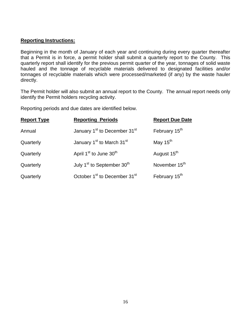#### **Reporting Instructions:**

Beginning in the month of January of each year and continuing during every quarter thereafter that a Permit is in force, a permit holder shall submit a quarterly report to the County. This quarterly report shall identify for the previous permit quarter of the year, tonnages of solid waste hauled and the tonnage of recyclable materials delivered to designated facilities and/or tonnages of recyclable materials which were processed/marketed (if any) by the waste hauler directly.

The Permit holder will also submit an annual report to the County. The annual report needs only identify the Permit holders recycling activity.

Reporting periods and due dates are identified below.

| <b>Report Type</b> | <b>Reporting Periods</b>                             | <b>Report Due Date</b>    |
|--------------------|------------------------------------------------------|---------------------------|
| Annual             | January 1 <sup>st</sup> to December 31 <sup>st</sup> | February 15 <sup>th</sup> |
| Quarterly          | January 1 <sup>st</sup> to March 31 <sup>st</sup>    | May 15 <sup>th</sup>      |
| Quarterly          | April 1 <sup>st</sup> to June 30 <sup>th</sup>       | August 15 <sup>th</sup>   |
| Quarterly          | July 1 <sup>st</sup> to September 30 <sup>th</sup>   | November 15 <sup>th</sup> |
| Quarterly          | October 1 <sup>st</sup> to December 31 <sup>st</sup> | February 15 <sup>th</sup> |